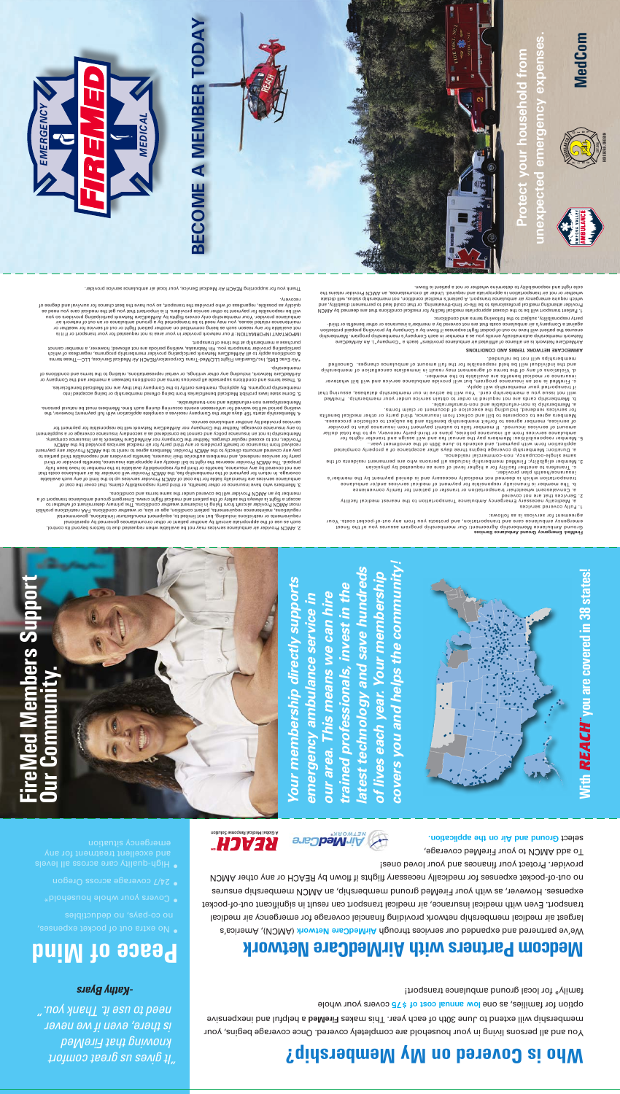## **Who is Covered on My Membership?**

You and all persons living in your household are completely covered. Once coverage begins, your avianeaxeni bus ludled a beMeri<sup>3</sup> asken aidT .nsey dose to dt0£ enuL of bnetxe lliw qidatedmem elour whole was one low annual cost of \$75 covers your whole

### **Medcom Partners with AirMedCare Network**

We've partnered and expanded our services through AirMedCare Network (AMCN), America's largest air medical membership network providing financial coverage for emergency air medical transport. Even with medical insurance, air medical transport can result in significant out-of-pocket expenses. However, as with your FireMed ground membership, an AMCN membership ensures no out-of-pocket expenses for medically necessary flights if flown by REACH or any other AMCN

provider. Protect your finances and your loved ones! To add AMCN to your FireMed coverage,

**Ground and Air on the application.** 

family\* for local ground ambulance transport!

*covers you and helps the community! latest technology and save hundreds*  covers you and helps the community atest technology and save hundreds *of lives each year. Your membership*  lives each year. Your membership *Your membership directly supports*  Your membership directly supports *trained professionals, invest in the*  rained professionals, invest in the *our area. This means we can hire emergency ambulance service in*  our area. This means we can hire emergency ambulance service in



agreement for services is as follows:<br>ausuan drug Mumper Meumere the Steel Could from the following the Steel Cocket costs. Your<br>Ground Arnbuland and Meumer and Meement: Our membership program assures you of the finest<br>Gro

1. Fully coveres<br>1 services Insears Pares Intergency Ambulance Transportation to the nearest medical facility<br>2. Services that are not covered

- 
- 
- 
- 
- and<br>and the dimension of the service of the service of the service of the service of the service of the service<br>order and the service of the service of the service of the service order or the service order or the service o
- 

**AIRMEDCARE NETWORK TERMS AND CONDITIONS**

Protect

- 
- 

**DIST** ₩

- 
- 
- 
- 
- 
- 

## c, FireMed is not an insurance program, but will provide ambulance service and will bill whatever the propertion of the service service service and the properties are ally a service that the properties are ally a service t







Thank you for supporting REACH Air Medical Service, your local air ambulance service provider.

**BECOME A MEMBER TODAY**

**BECOME A MEMBER TODAY** 

e the property of the state which are the model of the state of the state of the state and the state of the state of the state of the state of the state of the state of the state of the state of the state of the state of t

\*Air Evac EMS), Inc./Guaralism Flight LLC/Med-Trans Gorporation/REACH Air Medical Services, LLC—These terms<br>holds the member of the manufacture of the member of the manufacture membership programs, regardialess of which<br>so

6. Ihane amb and conditions supersede all previous terms and conditions between a member and the Company or to<br>Alikeldo and experiment in the many of the manifologs, or versel and conditions between a member and the Compan

5. Some state laws prohibit Medicaid beneficiaries from being offered membership or being accepted into membership programs. By applying, members certify to the Company that they are not Medicaid beneficiaries.

4. Membership starts 15‡ days after the Company receives a complete application with full payment; however, the<br>A Membership period of the man and events occurring during such their and mail bayment. In the partial persons Membershipsare non-refundable and non-transferable.

aldeliate a sense of the principle and computer allows a sense of the process of the process of the process of the process of the process of the process of the process of the process of the process of the process of the pr

Jornoo atl broyed arother of the Medileve ad 10m year arouse aonalidans in showld.<br>Interventional of the Mediator of Harac and the State and Arouse 2001 and 2001 and 2001 and 2001 and 2001 and<br>Internet and the Mediator of member by an AMCN Provider will be covered under the same terms and conditions.



**FireMed Members Support Our Community.**  lembers S

## ws **Androg Studes Alliance Solution** enean Air MedCare

<sup>o</sup> 24/7 coverage across Oregon

*"It gives us great comfort knowing that FireMed is there, even if we never need to use it. Thank you." -Kathy Byars*

**Peace of Mind**

seiginonpep ou 's/ed-op of











F  $\ddot{\,}$ R E

ROSEBURG, OREGON EST. 1952

 $\blacksquare$